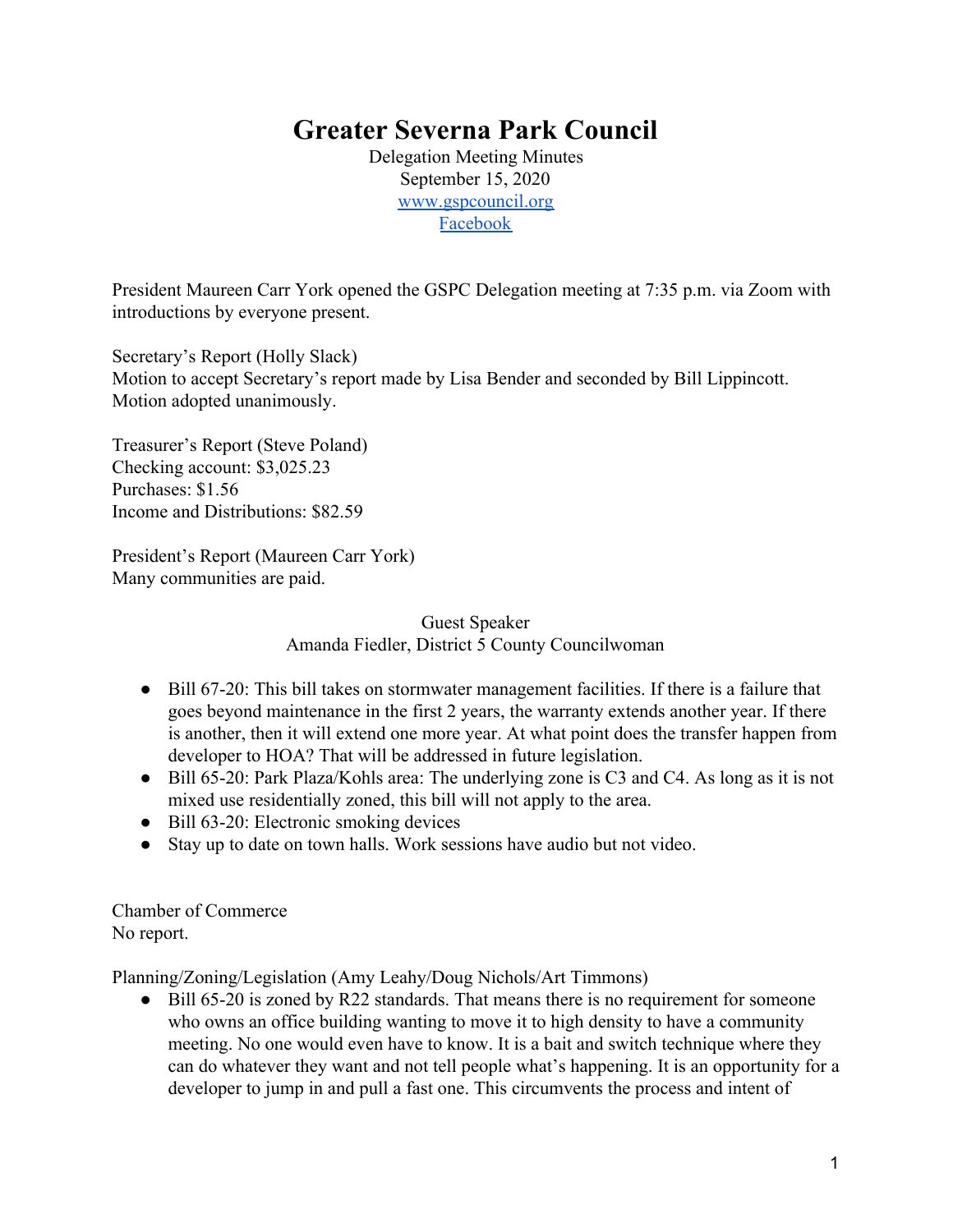## **Greater Severna Park Council**

Delegation Meeting Minutes September 15, 2020 [www.gspcouncil.org](http://www.gspcouncil.org/) [Facebook](https://www.facebook.com/severnaparkcouncil/)

President Maureen Carr York opened the GSPC Delegation meeting at 7:35 p.m. via Zoom with introductions by everyone present.

Secretary's Report (Holly Slack) Motion to accept Secretary's report made by Lisa Bender and seconded by Bill Lippincott. Motion adopted unanimously.

Treasurer's Report (Steve Poland) Checking account: \$3,025.23 Purchases: \$1.56 Income and Distributions: \$82.59

President's Report (Maureen Carr York) Many communities are paid.

> Guest Speaker Amanda Fiedler, District 5 County Councilwoman

- Bill 67-20: This bill takes on stormwater management facilities. If there is a failure that goes beyond maintenance in the first 2 years, the warranty extends another year. If there is another, then it will extend one more year. At what point does the transfer happen from developer to HOA? That will be addressed in future legislation.
- Bill 65-20: Park Plaza/Kohls area: The underlying zone is C3 and C4. As long as it is not mixed use residentially zoned, this bill will not apply to the area.
- Bill 63-20: Electronic smoking devices
- Stay up to date on town halls. Work sessions have audio but not video.

Chamber of Commerce No report.

Planning/Zoning/Legislation (Amy Leahy/Doug Nichols/Art Timmons)

• Bill 65-20 is zoned by R22 standards. That means there is no requirement for someone who owns an office building wanting to move it to high density to have a community meeting. No one would even have to know. It is a bait and switch technique where they can do whatever they want and not tell people what's happening. It is an opportunity for a developer to jump in and pull a fast one. This circumvents the process and intent of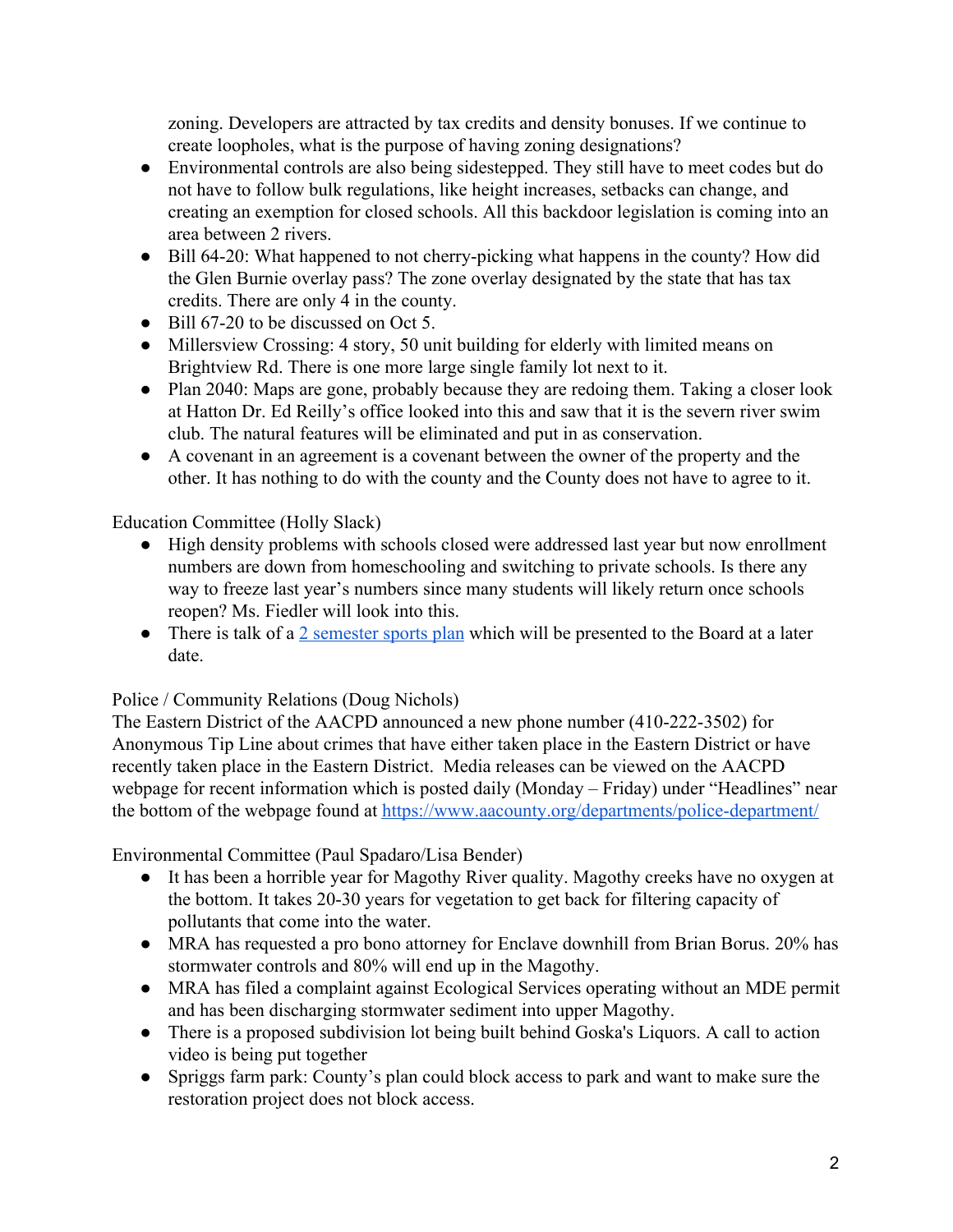zoning. Developers are attracted by tax credits and density bonuses. If we continue to create loopholes, what is the purpose of having zoning designations?

- Environmental controls are also being sidestepped. They still have to meet codes but do not have to follow bulk regulations, like height increases, setbacks can change, and creating an exemption for closed schools. All this backdoor legislation is coming into an area between 2 rivers.
- Bill 64-20: What happened to not cherry-picking what happens in the county? How did the Glen Burnie overlay pass? The zone overlay designated by the state that has tax credits. There are only 4 in the county.
- Bill 67-20 to be discussed on Oct 5.
- Millersview Crossing: 4 story, 50 unit building for elderly with limited means on Brightview Rd. There is one more large single family lot next to it.
- Plan 2040: Maps are gone, probably because they are redoing them. Taking a closer look at Hatton Dr. Ed Reilly's office looked into this and saw that it is the severn river swim club. The natural features will be eliminated and put in as conservation.
- A covenant in an agreement is a covenant between the owner of the property and the other. It has nothing to do with the county and the County does not have to agree to it.

## Education Committee (Holly Slack)

- High density problems with schools closed were addressed last year but now enrollment numbers are down from homeschooling and switching to private schools. Is there any way to freeze last year's numbers since many students will likely return once schools reopen? Ms. Fiedler will look into this.
- There is talk of a [2 semester sports plan](https://www.aacps.org/cms/lib/MD02215556/Centricity/Domain/240/MPSSAA_Roadmap_Two-Semester_Plan.pdf) which will be presented to the Board at a later date.

## Police / Community Relations (Doug Nichols)

The Eastern District of the AACPD announced a new phone number (410-222-3502) for Anonymous Tip Line about crimes that have either taken place in the Eastern District or have recently taken place in the Eastern District. Media releases can be viewed on the AACPD webpage for recent information which is posted daily (Monday – Friday) under "Headlines" near the bottom of the webpage found at<https://www.aacounty.org/departments/police-department/>

Environmental Committee (Paul Spadaro/Lisa Bender)

- It has been a horrible year for Magothy River quality. Magothy creeks have no oxygen at the bottom. It takes 20-30 years for vegetation to get back for filtering capacity of pollutants that come into the water.
- MRA has requested a pro bono attorney for Enclave downhill from Brian Borus. 20% has stormwater controls and 80% will end up in the Magothy.
- MRA has filed a complaint against Ecological Services operating without an MDE permit and has been discharging stormwater sediment into upper Magothy.
- There is a proposed subdivision lot being built behind Goska's Liquors. A call to action video is being put together
- Spriggs farm park: County's plan could block access to park and want to make sure the restoration project does not block access.